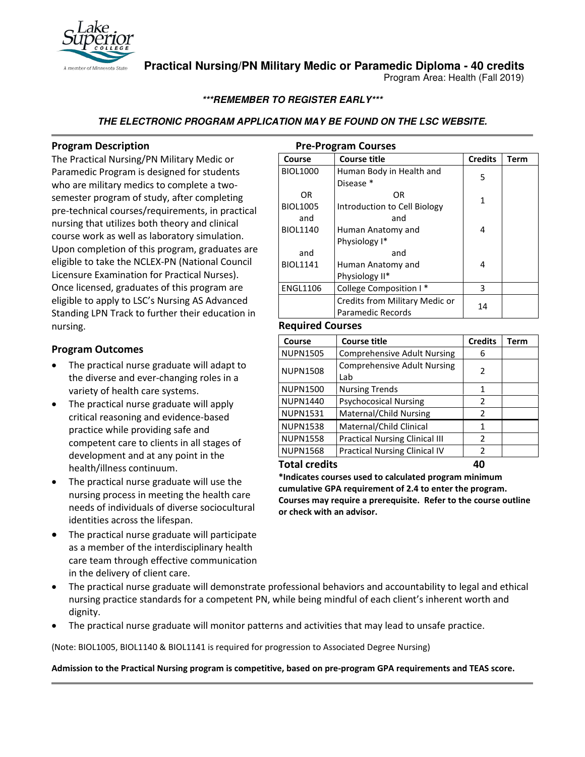

**Practical Nursing/PN Military Medic or Paramedic Diploma - 40 credits**

Program Area: Health (Fall 2019)

# **\*\*\*REMEMBER TO REGISTER EARLY\*\*\***

# **THE ELECTRONIC PROGRAM APPLICATION MAY BE FOUND ON THE LSC WEBSITE.**

## **Program Description**

The Practical Nursing/PN Military Medic or Paramedic Program is designed for students who are military medics to complete a twosemester program of study, after completing pre-technical courses/requirements, in practical nursing that utilizes both theory and clinical course work as well as laboratory simulation. Upon completion of this program, graduates are eligible to take the NCLEX-PN (National Council Licensure Examination for Practical Nurses). Once licensed, graduates of this program are eligible to apply to LSC's Nursing AS Advanced Standing LPN Track to further their education in nursing.

# **Program Outcomes**

- The practical nurse graduate will adapt to the diverse and ever-changing roles in a variety of health care systems.
- The practical nurse graduate will apply critical reasoning and evidence-based practice while providing safe and competent care to clients in all stages of development and at any point in the health/illness continuum.
- The practical nurse graduate will use the nursing process in meeting the health care needs of individuals of diverse sociocultural identities across the lifespan.
- The practical nurse graduate will participate as a member of the interdisciplinary health care team through effective communication in the delivery of client care.
- The practical nurse graduate will demonstrate professional behaviors and accountability to legal and ethical nursing practice standards for a competent PN, while being mindful of each client's inherent worth and dignity.
- The practical nurse graduate will monitor patterns and activities that may lead to unsafe practice.

(Note: BIOL1005, BIOL1140 & BIOL1141 is required for progression to Associated Degree Nursing)

**Admission to the Practical Nursing program is competitive, based on pre-program GPA requirements and TEAS score.**

| <b>Pre-Program Courses</b>     |                              |                |      |  |  |  |
|--------------------------------|------------------------------|----------------|------|--|--|--|
| Course                         | Course title                 | <b>Credits</b> | Term |  |  |  |
| <b>BIOL1000</b>                | Human Body in Health and     | 5              |      |  |  |  |
|                                | Disease *                    |                |      |  |  |  |
| OR                             | OR                           | 1              |      |  |  |  |
| <b>BIOL1005</b>                | Introduction to Cell Biology |                |      |  |  |  |
| and                            | and                          |                |      |  |  |  |
| <b>BIOL1140</b>                | Human Anatomy and            | 4              |      |  |  |  |
|                                | Physiology I*                |                |      |  |  |  |
| and                            | and                          |                |      |  |  |  |
| <b>BIOL1141</b>                | Human Anatomy and            | 4              |      |  |  |  |
|                                | Physiology II*               |                |      |  |  |  |
| <b>ENGL1106</b>                | College Composition I*       | ς              |      |  |  |  |
| Credits from Military Medic or |                              | 14             |      |  |  |  |
|                                | Paramedic Records            |                |      |  |  |  |

### **Required Courses**

| <b>Course title</b><br>Course            |                                       | <b>Credits</b> | Term |
|------------------------------------------|---------------------------------------|----------------|------|
| <b>NUPN1505</b>                          | <b>Comprehensive Adult Nursing</b>    | 6              |      |
| <b>NUPN1508</b>                          | <b>Comprehensive Adult Nursing</b>    | 2              |      |
|                                          | Lab                                   |                |      |
| <b>NUPN1500</b><br><b>Nursing Trends</b> |                                       | 1              |      |
| <b>NUPN1440</b>                          | <b>Psychocosical Nursing</b>          |                |      |
| Maternal/Child Nursing<br>NUPN1531       |                                       | $\mathcal{P}$  |      |
| <b>NUPN1538</b>                          | Maternal/Child Clinical               | 1              |      |
| <b>NUPN1558</b>                          | <b>Practical Nursing Clinical III</b> | $\mathcal{P}$  |      |
| <b>NUPN1568</b>                          | <b>Practical Nursing Clinical IV</b>  | 2              |      |
| _                                        |                                       |                |      |

**Total credits 40** 

**\*Indicates courses used to calculated program minimum cumulative GPA requirement of 2.4 to enter the program. Courses may require a prerequisite. Refer to the course outline or check with an advisor.**